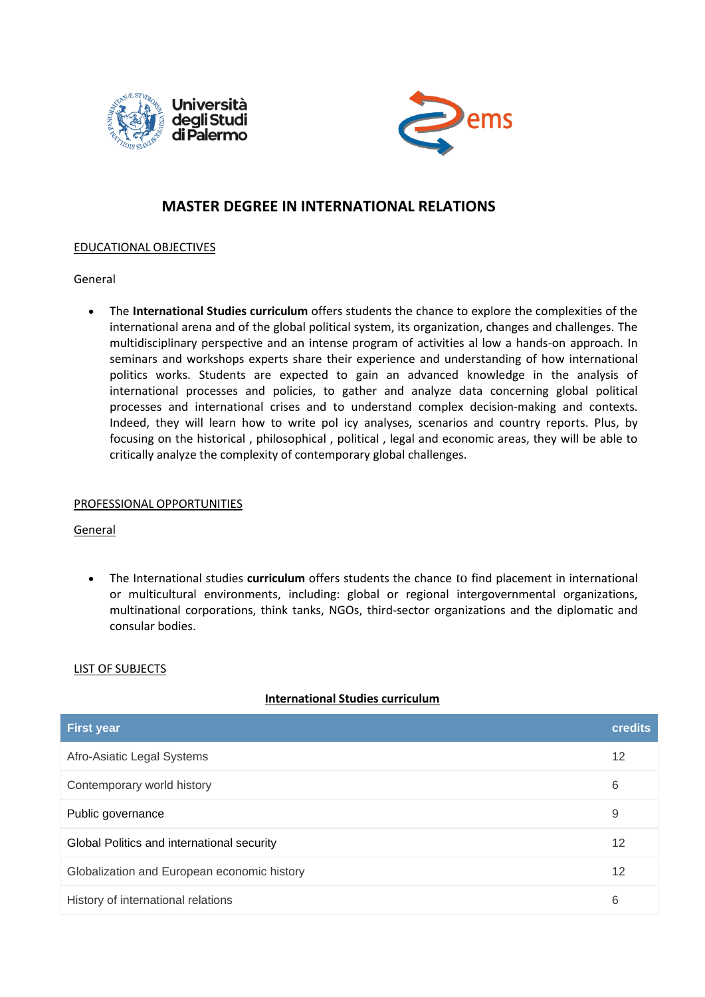



# **MASTER DEGREE IN INTERNATIONAL RELATIONS**

## EDUCATIONAL OBJECTIVES

## General

• The **International Studies curriculum** offers students the chance to explore the complexities of the international arena and of the global political system, its organization, changes and challenges. The multidisciplinary perspective and an intense program of activities al low a hands-on approach. In seminars and workshops experts share their experience and understanding of how international politics works. Students are expected to gain an advanced knowledge in the analysis of international processes and policies, to gather and analyze data concerning global political processes and international crises and to understand complex decision-making and contexts. Indeed, they will learn how to write pol icy analyses, scenarios and country reports. Plus, by focusing on the historical , philosophical , political , legal and economic areas, they will be able to critically analyze the complexity of contemporary global challenges.

## PROFESSIONAL OPPORTUNITIES

#### General

• The International studies **curriculum** offers students the chance to find placement in international or multicultural environments, including: global or regional intergovernmental organizations, multinational corporations, think tanks, NGOs, third-sector organizations and the diplomatic and consular bodies.

## LIST OF SUBJECTS

## **International Studies curriculum**

| <b>First year</b>                           | <b>credits</b> |
|---------------------------------------------|----------------|
| Afro-Asiatic Legal Systems                  | 12             |
| Contemporary world history                  | 6              |
| Public governance                           | 9              |
| Global Politics and international security  | 12             |
| Globalization and European economic history | 12             |
| History of international relations          | 6              |